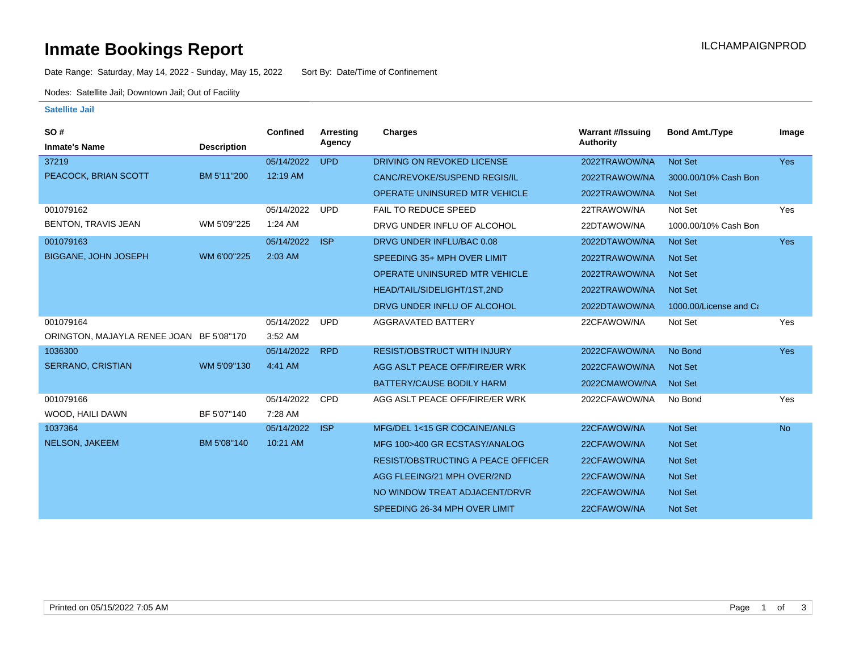### **Inmate Bookings Report International Contract Contract Contract Contract Contract Contract Contract Contract Contract Contract Contract Contract Contract Contract Contract Contract Contract Contract Contract Contract Co**

Date Range: Saturday, May 14, 2022 - Sunday, May 15, 2022 Sort By: Date/Time of Confinement

Nodes: Satellite Jail; Downtown Jail; Out of Facility

### **Satellite Jail**

| SO#                                      |                    | <b>Confined</b> | Arresting  | Charges                                   | <b>Warrant #/Issuing</b> | <b>Bond Amt./Type</b>  | Image      |
|------------------------------------------|--------------------|-----------------|------------|-------------------------------------------|--------------------------|------------------------|------------|
| <b>Inmate's Name</b>                     | <b>Description</b> |                 | Agency     |                                           | <b>Authority</b>         |                        |            |
| 37219                                    |                    | 05/14/2022      | <b>UPD</b> | DRIVING ON REVOKED LICENSE                | 2022TRAWOW/NA            | Not Set                | <b>Yes</b> |
| PEACOCK, BRIAN SCOTT                     | BM 5'11"200        | 12:19 AM        |            | <b>CANC/REVOKE/SUSPEND REGIS/IL</b>       | 2022TRAWOW/NA            | 3000.00/10% Cash Bon   |            |
|                                          |                    |                 |            | <b>OPERATE UNINSURED MTR VEHICLE</b>      | 2022TRAWOW/NA            | Not Set                |            |
| 001079162                                |                    | 05/14/2022      | <b>UPD</b> | <b>FAIL TO REDUCE SPEED</b>               | 22TRAWOW/NA              | Not Set                | Yes        |
| BENTON, TRAVIS JEAN                      | WM 5'09"225        | $1:24$ AM       |            | DRVG UNDER INFLU OF ALCOHOL               | 22DTAWOW/NA              | 1000.00/10% Cash Bon   |            |
| 001079163                                |                    | 05/14/2022      | <b>ISP</b> | DRVG UNDER INFLU/BAC 0.08                 | 2022DTAWOW/NA            | Not Set                | <b>Yes</b> |
| <b>BIGGANE, JOHN JOSEPH</b>              | WM 6'00"225        | $2:03$ AM       |            | SPEEDING 35+ MPH OVER LIMIT               | 2022TRAWOW/NA            | <b>Not Set</b>         |            |
|                                          |                    |                 |            | <b>OPERATE UNINSURED MTR VEHICLE</b>      | 2022TRAWOW/NA            | <b>Not Set</b>         |            |
|                                          |                    |                 |            | HEAD/TAIL/SIDELIGHT/1ST,2ND               | 2022TRAWOW/NA            | Not Set                |            |
|                                          |                    |                 |            | DRVG UNDER INFLU OF ALCOHOL               | 2022DTAWOW/NA            | 1000.00/License and Ca |            |
| 001079164                                |                    | 05/14/2022      | <b>UPD</b> | AGGRAVATED BATTERY                        | 22CFAWOW/NA              | Not Set                | Yes        |
| ORINGTON, MAJAYLA RENEE JOAN BF 5'08"170 |                    | 3:52 AM         |            |                                           |                          |                        |            |
| 1036300                                  |                    | 05/14/2022      | <b>RPD</b> | <b>RESIST/OBSTRUCT WITH INJURY</b>        | 2022CFAWOW/NA            | No Bond                | <b>Yes</b> |
| SERRANO, CRISTIAN                        | WM 5'09"130        | 4:41 AM         |            | AGG ASLT PEACE OFF/FIRE/ER WRK            | 2022CFAWOW/NA            | <b>Not Set</b>         |            |
|                                          |                    |                 |            | <b>BATTERY/CAUSE BODILY HARM</b>          | 2022CMAWOW/NA            | Not Set                |            |
| 001079166                                |                    | 05/14/2022      | <b>CPD</b> | AGG ASLT PEACE OFF/FIRE/ER WRK            | 2022CFAWOW/NA            | No Bond                | Yes        |
| WOOD, HAILI DAWN                         | BF 5'07"140        | 7:28 AM         |            |                                           |                          |                        |            |
| 1037364                                  |                    | 05/14/2022      | <b>ISP</b> | MFG/DEL 1<15 GR COCAINE/ANLG              | 22CFAWOW/NA              | Not Set                | <b>No</b>  |
| NELSON, JAKEEM                           | BM 5'08"140        | 10:21 AM        |            | MFG 100>400 GR ECSTASY/ANALOG             | 22CFAWOW/NA              | <b>Not Set</b>         |            |
|                                          |                    |                 |            | <b>RESIST/OBSTRUCTING A PEACE OFFICER</b> | 22CFAWOW/NA              | Not Set                |            |
|                                          |                    |                 |            | AGG FLEEING/21 MPH OVER/2ND               | 22CFAWOW/NA              | <b>Not Set</b>         |            |
|                                          |                    |                 |            | NO WINDOW TREAT ADJACENT/DRVR             | 22CFAWOW/NA              | <b>Not Set</b>         |            |
|                                          |                    |                 |            | SPEEDING 26-34 MPH OVER LIMIT             | 22CFAWOW/NA              | <b>Not Set</b>         |            |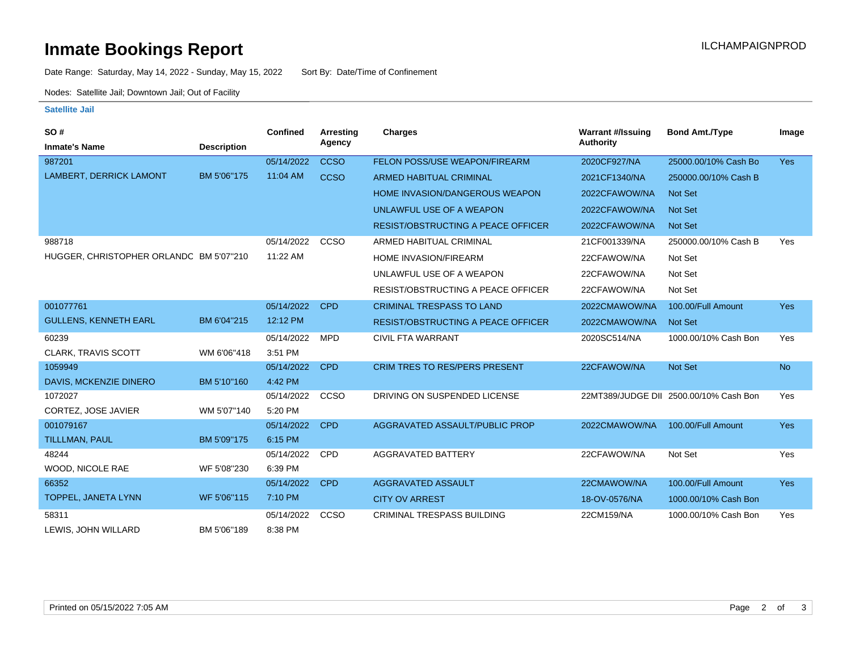# **Inmate Bookings Report Installation ILCHAMPAIGNPROD**

Date Range: Saturday, May 14, 2022 - Sunday, May 15, 2022 Sort By: Date/Time of Confinement

Nodes: Satellite Jail; Downtown Jail; Out of Facility

### **Satellite Jail**

| <b>SO#</b>                              |                    | Confined   | Arresting   | <b>Charges</b>                            | <b>Warrant #/Issuing</b> | <b>Bond Amt./Type</b>                  | Image      |
|-----------------------------------------|--------------------|------------|-------------|-------------------------------------------|--------------------------|----------------------------------------|------------|
| <b>Inmate's Name</b>                    | <b>Description</b> |            | Agency      |                                           | Authority                |                                        |            |
| 987201                                  |                    | 05/14/2022 | <b>CCSO</b> | FELON POSS/USE WEAPON/FIREARM             | 2020CF927/NA             | 25000.00/10% Cash Bo                   | <b>Yes</b> |
| <b>LAMBERT, DERRICK LAMONT</b>          | BM 5'06"175        | 11:04 AM   | <b>CCSO</b> | <b>ARMED HABITUAL CRIMINAL</b>            | 2021CF1340/NA            | 250000.00/10% Cash B                   |            |
|                                         |                    |            |             | HOME INVASION/DANGEROUS WEAPON            | 2022CFAWOW/NA            | <b>Not Set</b>                         |            |
|                                         |                    |            |             | UNLAWFUL USE OF A WEAPON                  | 2022CFAWOW/NA            | <b>Not Set</b>                         |            |
|                                         |                    |            |             | <b>RESIST/OBSTRUCTING A PEACE OFFICER</b> | 2022CFAWOW/NA            | Not Set                                |            |
| 988718                                  |                    | 05/14/2022 | CCSO        | ARMED HABITUAL CRIMINAL                   | 21CF001339/NA            | 250000.00/10% Cash B                   | Yes        |
| HUGGER, CHRISTOPHER ORLANDC BM 5'07"210 |                    | 11:22 AM   |             | <b>HOME INVASION/FIREARM</b>              | 22CFAWOW/NA              | Not Set                                |            |
|                                         |                    |            |             | UNLAWFUL USE OF A WEAPON                  | 22CFAWOW/NA              | Not Set                                |            |
|                                         |                    |            |             | <b>RESIST/OBSTRUCTING A PEACE OFFICER</b> | 22CFAWOW/NA              | Not Set                                |            |
| 001077761                               |                    | 05/14/2022 | <b>CPD</b>  | <b>CRIMINAL TRESPASS TO LAND</b>          | 2022CMAWOW/NA            | 100.00/Full Amount                     | <b>Yes</b> |
| <b>GULLENS, KENNETH EARL</b>            | BM 6'04"215        | 12:12 PM   |             | <b>RESIST/OBSTRUCTING A PEACE OFFICER</b> | 2022CMAWOW/NA            | Not Set                                |            |
| 60239                                   |                    | 05/14/2022 | <b>MPD</b>  | <b>CIVIL FTA WARRANT</b>                  | 2020SC514/NA             | 1000.00/10% Cash Bon                   | Yes        |
| <b>CLARK, TRAVIS SCOTT</b>              | WM 6'06"418        | 3:51 PM    |             |                                           |                          |                                        |            |
| 1059949                                 |                    | 05/14/2022 | <b>CPD</b>  | <b>CRIM TRES TO RES/PERS PRESENT</b>      | 22CFAWOW/NA              | Not Set                                | <b>No</b>  |
| DAVIS, MCKENZIE DINERO                  | BM 5'10"160        | 4:42 PM    |             |                                           |                          |                                        |            |
| 1072027                                 |                    | 05/14/2022 | CCSO        | DRIVING ON SUSPENDED LICENSE              |                          | 22MT389/JUDGE DII 2500.00/10% Cash Bon | Yes        |
| CORTEZ, JOSE JAVIER                     | WM 5'07"140        | 5:20 PM    |             |                                           |                          |                                        |            |
| 001079167                               |                    | 05/14/2022 | <b>CPD</b>  | AGGRAVATED ASSAULT/PUBLIC PROP            | 2022CMAWOW/NA            | 100.00/Full Amount                     | Yes        |
| TILLLMAN, PAUL                          | BM 5'09"175        | 6:15 PM    |             |                                           |                          |                                        |            |
| 48244                                   |                    | 05/14/2022 | <b>CPD</b>  | <b>AGGRAVATED BATTERY</b>                 | 22CFAWOW/NA              | Not Set                                | Yes        |
| WOOD, NICOLE RAE                        | WF 5'08"230        | 6:39 PM    |             |                                           |                          |                                        |            |
| 66352                                   |                    | 05/14/2022 | <b>CPD</b>  | AGGRAVATED ASSAULT                        | 22CMAWOW/NA              | 100.00/Full Amount                     | <b>Yes</b> |
| TOPPEL, JANETA LYNN                     | WF 5'06"115        | 7:10 PM    |             | <b>CITY OV ARREST</b>                     | 18-OV-0576/NA            | 1000.00/10% Cash Bon                   |            |
| 58311                                   |                    | 05/14/2022 | CCSO        | <b>CRIMINAL TRESPASS BUILDING</b>         | 22CM159/NA               | 1000.00/10% Cash Bon                   | Yes        |
| LEWIS, JOHN WILLARD                     | BM 5'06"189        | 8:38 PM    |             |                                           |                          |                                        |            |